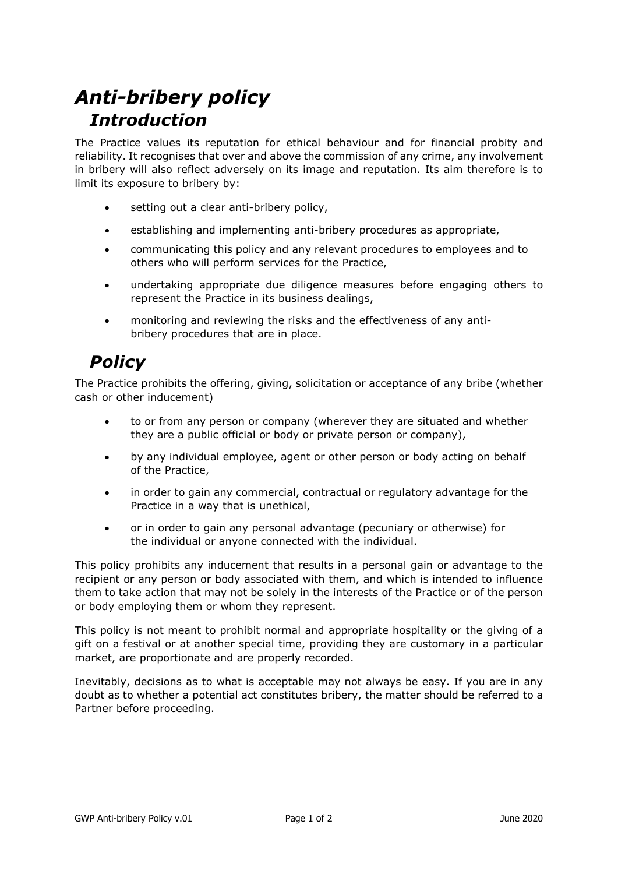## *Anti-bribery policy Introduction*

The Practice values its reputation for ethical behaviour and for financial probity and reliability. It recognises that over and above the commission of any crime, any involvement in bribery will also reflect adversely on its image and reputation. Its aim therefore is to limit its exposure to bribery by:

- setting out a clear anti-bribery policy,
- establishing and implementing anti-bribery procedures as appropriate,
- communicating this policy and any relevant procedures to employees and to others who will perform services for the Practice,
- undertaking appropriate due diligence measures before engaging others to represent the Practice in its business dealings,
- monitoring and reviewing the risks and the effectiveness of any antibribery procedures that are in place.

## *Policy*

The Practice prohibits the offering, giving, solicitation or acceptance of any bribe (whether cash or other inducement)

- to or from any person or company (wherever they are situated and whether they are a public official or body or private person or company),
- by any individual employee, agent or other person or body acting on behalf of the Practice,
- in order to gain any commercial, contractual or regulatory advantage for the Practice in a way that is unethical,
- or in order to gain any personal advantage (pecuniary or otherwise) for the individual or anyone connected with the individual.

This policy prohibits any inducement that results in a personal gain or advantage to the recipient or any person or body associated with them, and which is intended to influence them to take action that may not be solely in the interests of the Practice or of the person or body employing them or whom they represent.

This policy is not meant to prohibit normal and appropriate hospitality or the giving of a gift on a festival or at another special time, providing they are customary in a particular market, are proportionate and are properly recorded.

Inevitably, decisions as to what is acceptable may not always be easy. If you are in any doubt as to whether a potential act constitutes bribery, the matter should be referred to a Partner before proceeding.